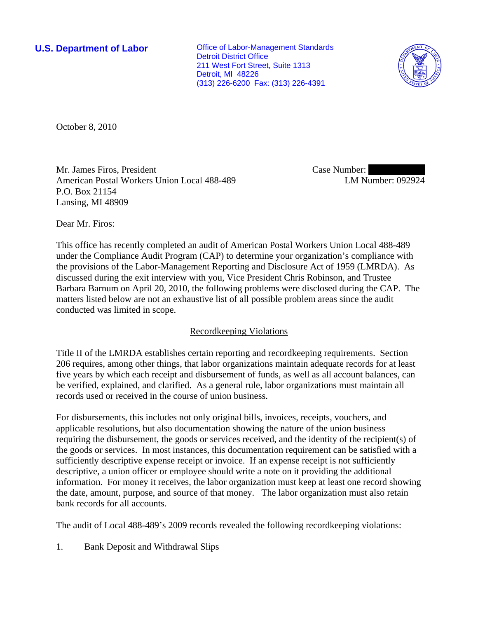**U.S. Department of Labor Conservative Conservative Conservative Conservative Conservative Conservative Conservative Conservative Conservative Conservative Conservative Conservative Conservative Conservative Conservative** Detroit District Office 211 West Fort Street, Suite 1313 Detroit, MI 48226 (313) 226-6200 Fax: (313) 226-4391



October 8, 2010

Mr. James Firos, President American Postal Workers Union Local 488-489 P.O. Box 21154 Lansing, MI 48909

Case Number: LM Number: 092924

Dear Mr. Firos:

This office has recently completed an audit of American Postal Workers Union Local 488-489 under the Compliance Audit Program (CAP) to determine your organization's compliance with the provisions of the Labor-Management Reporting and Disclosure Act of 1959 (LMRDA). As discussed during the exit interview with you, Vice President Chris Robinson, and Trustee Barbara Barnum on April 20, 2010, the following problems were disclosed during the CAP. The matters listed below are not an exhaustive list of all possible problem areas since the audit conducted was limited in scope.

## Recordkeeping Violations

Title II of the LMRDA establishes certain reporting and recordkeeping requirements. Section 206 requires, among other things, that labor organizations maintain adequate records for at least five years by which each receipt and disbursement of funds, as well as all account balances, can be verified, explained, and clarified. As a general rule, labor organizations must maintain all records used or received in the course of union business.

For disbursements, this includes not only original bills, invoices, receipts, vouchers, and applicable resolutions, but also documentation showing the nature of the union business requiring the disbursement, the goods or services received, and the identity of the recipient(s) of the goods or services. In most instances, this documentation requirement can be satisfied with a sufficiently descriptive expense receipt or invoice. If an expense receipt is not sufficiently descriptive, a union officer or employee should write a note on it providing the additional information. For money it receives, the labor organization must keep at least one record showing the date, amount, purpose, and source of that money. The labor organization must also retain bank records for all accounts.

The audit of Local 488-489's 2009 records revealed the following recordkeeping violations:

1. Bank Deposit and Withdrawal Slips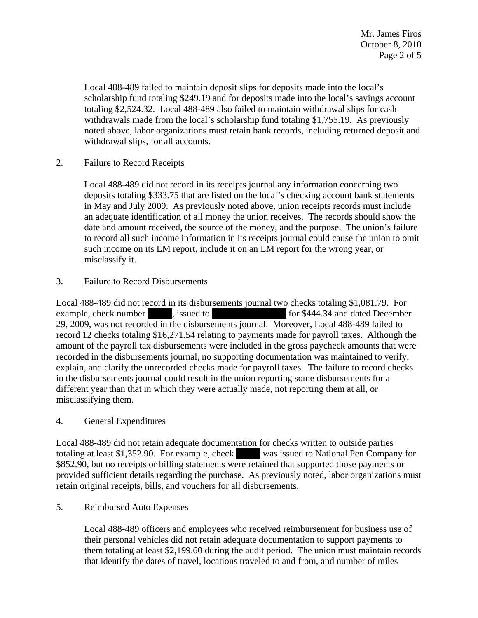Local 488-489 failed to maintain deposit slips for deposits made into the local's scholarship fund totaling \$249.19 and for deposits made into the local's savings account totaling \$2,524.32. Local 488-489 also failed to maintain withdrawal slips for cash withdrawals made from the local's scholarship fund totaling \$1,755.19. As previously noted above, labor organizations must retain bank records, including returned deposit and withdrawal slips, for all accounts.

2. Failure to Record Receipts

Local 488-489 did not record in its receipts journal any information concerning two deposits totaling \$333.75 that are listed on the local's checking account bank statements in May and July 2009. As previously noted above, union receipts records must include an adequate identification of all money the union receives. The records should show the date and amount received, the source of the money, and the purpose. The union's failure to record all such income information in its receipts journal could cause the union to omit such income on its LM report, include it on an LM report for the wrong year, or misclassify it.

3. Failure to Record Disbursements

Local 488-489 did not record in its disbursements journal two checks totaling \$1,081.79. For example, check number |||||||||||||, issued to ||||||||||| ||| ||||||||||||||||||||||| for \$444.34 and dated December 29, 2009, was not recorded in the disbursements journal. Moreover, Local 488-489 failed to record 12 checks totaling \$16,271.54 relating to payments made for payroll taxes. Although the amount of the payroll tax disbursements were included in the gross paycheck amounts that were recorded in the disbursements journal, no supporting documentation was maintained to verify, explain, and clarify the unrecorded checks made for payroll taxes. The failure to record checks in the disbursements journal could result in the union reporting some disbursements for a different year than that in which they were actually made, not reporting them at all, or misclassifying them.

4. General Expenditures

Local 488-489 did not retain adequate documentation for checks written to outside parties totaling at least \$1,352.90. For example, check was issued to National Pen Company for \$852.90, but no receipts or billing statements were retained that supported those payments or provided sufficient details regarding the purchase. As previously noted, labor organizations must retain original receipts, bills, and vouchers for all disbursements.

5. Reimbursed Auto Expenses

Local 488-489 officers and employees who received reimbursement for business use of their personal vehicles did not retain adequate documentation to support payments to them totaling at least \$2,199.60 during the audit period. The union must maintain records that identify the dates of travel, locations traveled to and from, and number of miles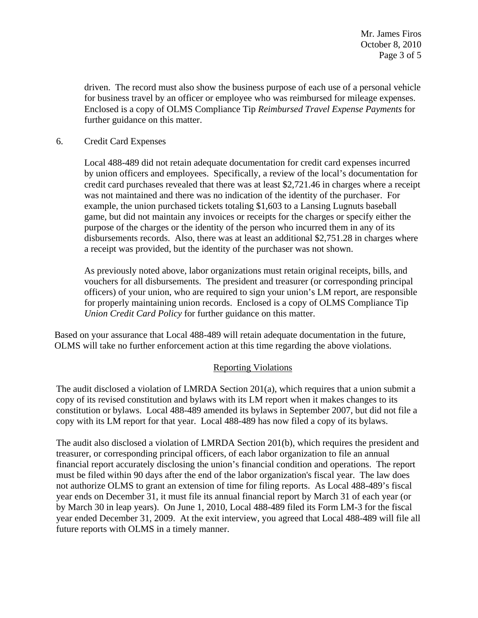driven. The record must also show the business purpose of each use of a personal vehicle for business travel by an officer or employee who was reimbursed for mileage expenses. Enclosed is a copy of OLMS Compliance Tip *Reimbursed Travel Expense Payments* for further guidance on this matter.

# 6. Credit Card Expenses

Local 488-489 did not retain adequate documentation for credit card expenses incurred by union officers and employees. Specifically, a review of the local's documentation for credit card purchases revealed that there was at least \$2,721.46 in charges where a receipt was not maintained and there was no indication of the identity of the purchaser. For example, the union purchased tickets totaling \$1,603 to a Lansing Lugnuts baseball game, but did not maintain any invoices or receipts for the charges or specify either the purpose of the charges or the identity of the person who incurred them in any of its disbursements records. Also, there was at least an additional \$2,751.28 in charges where a receipt was provided, but the identity of the purchaser was not shown.

As previously noted above, labor organizations must retain original receipts, bills, and vouchers for all disbursements. The president and treasurer (or corresponding principal officers) of your union, who are required to sign your union's LM report, are responsible for properly maintaining union records. Enclosed is a copy of OLMS Compliance Tip *Union Credit Card Policy* for further guidance on this matter.

Based on your assurance that Local 488-489 will retain adequate documentation in the future, OLMS will take no further enforcement action at this time regarding the above violations.

## Reporting Violations

The audit disclosed a violation of LMRDA Section 201(a), which requires that a union submit a copy of its revised constitution and bylaws with its LM report when it makes changes to its constitution or bylaws. Local 488-489 amended its bylaws in September 2007, but did not file a copy with its LM report for that year. Local 488-489 has now filed a copy of its bylaws.

The audit also disclosed a violation of LMRDA Section 201(b), which requires the president and treasurer, or corresponding principal officers, of each labor organization to file an annual financial report accurately disclosing the union's financial condition and operations. The report must be filed within 90 days after the end of the labor organization's fiscal year. The law does not authorize OLMS to grant an extension of time for filing reports. As Local 488-489's fiscal year ends on December 31, it must file its annual financial report by March 31 of each year (or by March 30 in leap years). On June 1, 2010, Local 488-489 filed its Form LM-3 for the fiscal year ended December 31, 2009. At the exit interview, you agreed that Local 488-489 will file all future reports with OLMS in a timely manner.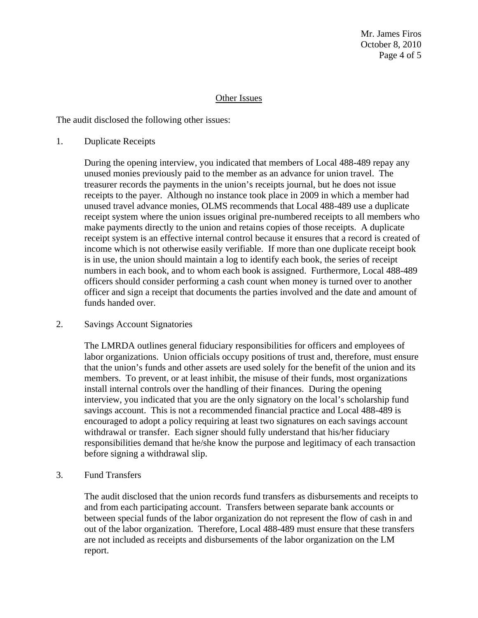Mr. James Firos October 8, 2010 Page 4 of 5

#### Other Issues

The audit disclosed the following other issues:

1. Duplicate Receipts

During the opening interview, you indicated that members of Local 488-489 repay any unused monies previously paid to the member as an advance for union travel. The treasurer records the payments in the union's receipts journal, but he does not issue receipts to the payer. Although no instance took place in 2009 in which a member had unused travel advance monies, OLMS recommends that Local 488-489 use a duplicate receipt system where the union issues original pre-numbered receipts to all members who make payments directly to the union and retains copies of those receipts. A duplicate receipt system is an effective internal control because it ensures that a record is created of income which is not otherwise easily verifiable. If more than one duplicate receipt book is in use, the union should maintain a log to identify each book, the series of receipt numbers in each book, and to whom each book is assigned. Furthermore, Local 488-489 officers should consider performing a cash count when money is turned over to another officer and sign a receipt that documents the parties involved and the date and amount of funds handed over.

## 2. Savings Account Signatories

The LMRDA outlines general fiduciary responsibilities for officers and employees of labor organizations. Union officials occupy positions of trust and, therefore, must ensure that the union's funds and other assets are used solely for the benefit of the union and its members. To prevent, or at least inhibit, the misuse of their funds, most organizations install internal controls over the handling of their finances. During the opening interview, you indicated that you are the only signatory on the local's scholarship fund savings account. This is not a recommended financial practice and Local 488-489 is encouraged to adopt a policy requiring at least two signatures on each savings account withdrawal or transfer. Each signer should fully understand that his/her fiduciary responsibilities demand that he/she know the purpose and legitimacy of each transaction before signing a withdrawal slip.

3. Fund Transfers

The audit disclosed that the union records fund transfers as disbursements and receipts to and from each participating account. Transfers between separate bank accounts or between special funds of the labor organization do not represent the flow of cash in and out of the labor organization. Therefore, Local 488-489 must ensure that these transfers are not included as receipts and disbursements of the labor organization on the LM report.